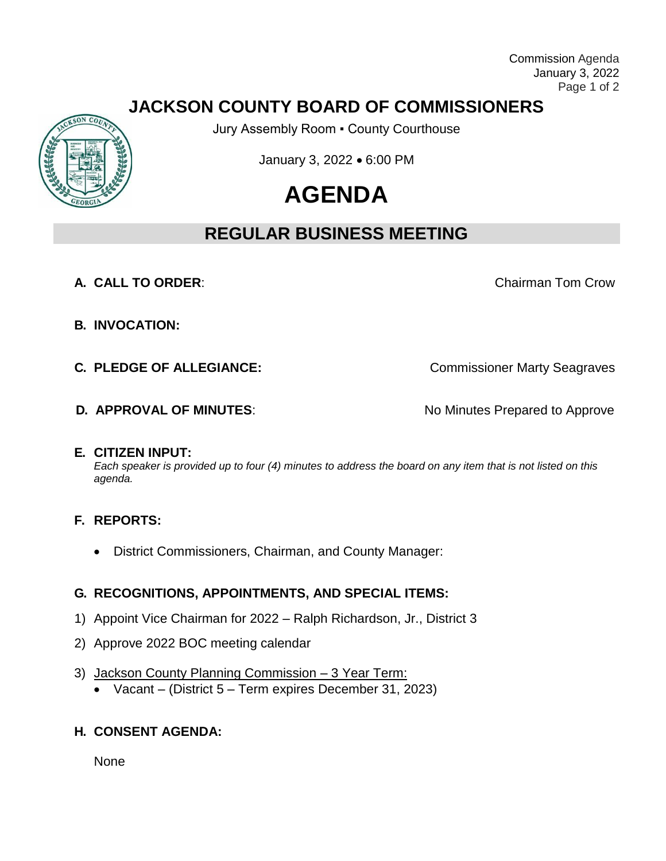Commission Agenda January 3, 2022 Page 1 of 2

## **JACKSON COUNTY BOARD OF COMMISSIONERS**

Jury Assembly Room ▪ County Courthouse

January 3, 2022 • 6:00 PM

# **AGENDA**

# **REGULAR BUSINESS MEETING**

**A. CALL TO ORDER:** Chairman Tom Crow

**B. INVOCATION:**

**C. PLEDGE OF ALLEGIANCE:** Commissioner Marty Seagraves

**D. APPROVAL OF MINUTES:** No Minutes Prepared to Approve

#### **E. CITIZEN INPUT:**

*Each speaker is provided up to four (4) minutes to address the board on any item that is not listed on this agenda.*

### **F. REPORTS:**

District Commissioners, Chairman, and County Manager:

### **G. RECOGNITIONS, APPOINTMENTS, AND SPECIAL ITEMS:**

- 1) Appoint Vice Chairman for 2022 Ralph Richardson, Jr., District 3
- 2) Approve 2022 BOC meeting calendar
- 3) Jackson County Planning Commission 3 Year Term:
	- Vacant (District 5 Term expires December 31, 2023)

### **H. CONSENT AGENDA:**

**None**